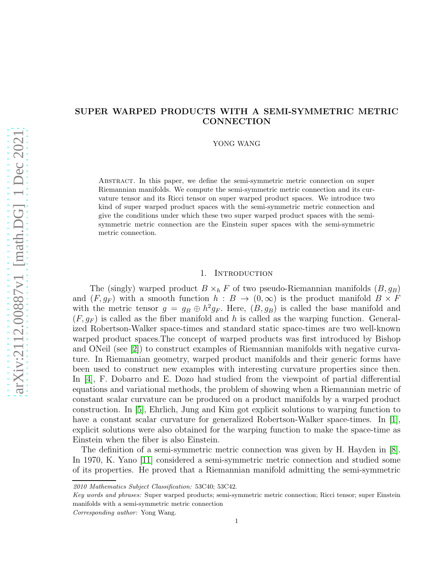# SUPER WARPED PRODUCTS WITH A SEMI-SYMMETRIC METRIC **CONNECTION**

YONG WANG

Abstract. In this paper, we define the semi-symmetric metric connection on super Riemannian manifolds. We compute the semi-symmetric metric connection and its curvature tensor and its Ricci tensor on super warped product spaces. We introduce two kind of super warped product spaces with the semi-symmetric metric connection and give the conditions under which these two super warped product spaces with the semisymmetric metric connection are the Einstein super spaces with the semi-symmetric metric connection.

## 1. Introduction

The (singly) warped product  $B \times_h F$  of two pseudo-Riemannian manifolds  $(B, g_B)$ and  $(F, g_F)$  with a smooth function  $h : B \to (0, \infty)$  is the product manifold  $B \times F$ with the metric tensor  $g = g_B \oplus h^2 g_F$ . Here,  $(B, g_B)$  is called the base manifold and  $(F, q_F)$  is called as the fiber manifold and h is called as the warping function. Generalized Robertson-Walker space-times and standard static space-times are two well-known warped product spaces.The concept of warped products was first introduced by Bishop and ONeil (see [\[2\]](#page-13-0)) to construct examples of Riemannian manifolds with negative curvature. In Riemannian geometry, warped product manifolds and their generic forms have been used to construct new examples with interesting curvature properties since then. In [\[4\]](#page-13-1), F. Dobarro and E. Dozo had studied from the viewpoint of partial differential equations and variational methods, the problem of showing when a Riemannian metric of constant scalar curvature can be produced on a product manifolds by a warped product construction. In [\[5\]](#page-13-2), Ehrlich, Jung and Kim got explicit solutions to warping function to have a constant scalar curvature for generalized Robertson-Walker space-times. In  $|1|$ , explicit solutions were also obtained for the warping function to make the space-time as Einstein when the fiber is also Einstein.

The definition of a semi-symmetric metric connection was given by H. Hayden in [\[8\]](#page-14-0). In 1970, K. Yano [\[11\]](#page-14-1) considered a semi-symmetric metric connection and studied some of its properties. He proved that a Riemannian manifold admitting the semi-symmetric

Corresponding author: Yong Wang.

<sup>2010</sup> Mathematics Subject Classification: 53C40; 53C42.

Key words and phrases: Super warped products; semi-symmetric metric connection; Ricci tensor; super Einstein manifolds with a semi-symmetric metric connection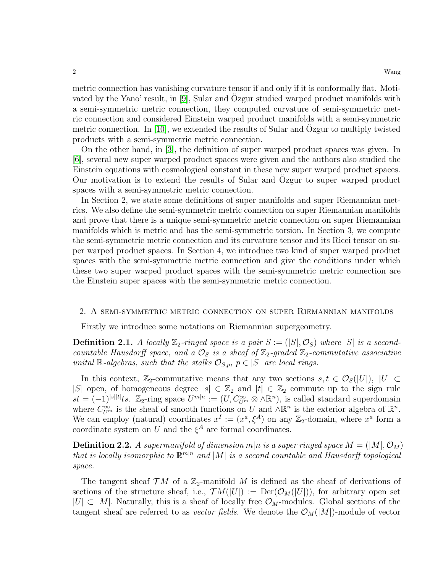metric connection has vanishing curvature tensor if and only if it is conformally flat. Moti-vated by the Yano' result, in [\[9\]](#page-14-2), Sular and Ozgur studied warped product manifolds with a semi-symmetric metric connection, they computed curvature of semi-symmetric metric connection and considered Einstein warped product manifolds with a semi-symmetric metric connection. In  $[10]$ , we extended the results of Sular and Ozgur to multiply twisted products with a semi-symmetric metric connection.

On the other hand, in [\[3\]](#page-13-4), the definition of super warped product spaces was given. In [\[6\]](#page-14-4), several new super warped product spaces were given and the authors also studied the Einstein equations with cosmological constant in these new super warped product spaces. Our motivation is to extend the results of Sular and Ozgur to super warped product spaces with a semi-symmetric metric connection.

In Section 2, we state some definitions of super manifolds and super Riemannian metrics. We also define the semi-symmetric metric connection on super Riemannian manifolds and prove that there is a unique semi-symmetric metric connection on super Riemannian manifolds which is metric and has the semi-symmetric torsion. In Section 3, we compute the semi-symmetric metric connection and its curvature tensor and its Ricci tensor on super warped product spaces. In Section 4, we introduce two kind of super warped product spaces with the semi-symmetric metric connection and give the conditions under which these two super warped product spaces with the semi-symmetric metric connection are the Einstein super spaces with the semi-symmetric metric connection.

## 2. A semi-symmetric metric connection on super Riemannian manifolds

Firstly we introduce some notations on Riemannian supergeometry.

**Definition 2.1.** A locally  $\mathbb{Z}_2$ -ringed space is a pair  $S := (|S|, \mathcal{O}_S)$  where  $|S|$  is a secondcountable Hausdorff space, and a  $\mathcal{O}_S$  is a sheaf of  $\mathbb{Z}_2$ -graded  $\mathbb{Z}_2$ -commutative associative unital R-algebras, such that the stalks  $\mathcal{O}_{S,p}$ ,  $p \in |S|$  are local rings.

In this context,  $\mathbb{Z}_2$ -commutative means that any two sections  $s, t \in \mathcal{O}_S(|U|)$ ,  $|U| \subset$ |S| open, of homogeneous degree  $|s| \in \mathbb{Z}_2$  and  $|t| \in \mathbb{Z}_2$  commute up to the sign rule  $st = (-1)^{|s||t|} \text{ts.}$   $\mathbb{Z}_2$ -ring space  $U^{m|n} := (U, C_{U^m}^{\infty} \otimes \wedge \mathbb{R}^n)$ , is called standard superdomain where  $C_{U^m}^{\infty}$  is the sheaf of smooth functions on U and  $\wedge \mathbb{R}^n$  is the exterior algebra of  $\mathbb{R}^n$ . We can employ (natural) coordinates  $x^I := (x^a, \xi^A)$  on any  $\mathbb{Z}_2$ -domain, where  $x^a$  form a coordinate system on U and the  $\xi^A$  are formal coordinates.

**Definition 2.2.** A supermanifold of dimension  $m|n$  is a super ringed space  $M = (|M|, O_M)$ that is locally isomorphic to  $\mathbb{R}^{m|n}$  and  $|M|$  is a second countable and Hausdorff topological space.

The tangent sheaf  $\mathcal{T}M$  of a  $\mathbb{Z}_2$ -manifold M is defined as the sheaf of derivations of sections of the structure sheaf, i.e.,  $TM(|U|) := Der(\mathcal{O}_M(|U|))$ , for arbitrary open set  $|U| \subset |M|$ . Naturally, this is a sheaf of locally free  $\mathcal{O}_M$ -modules. Global sections of the tangent sheaf are referred to as *vector fields*. We denote the  $\mathcal{O}_M(|M|)$ -module of vector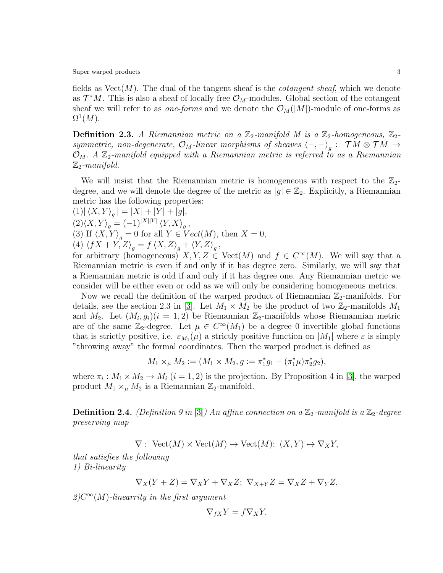fields as  $Vect(M)$ . The dual of the tangent sheaf is the *cotangent sheaf*, which we denote as  $\mathcal{T}^*M$ . This is also a sheaf of locally free  $\mathcal{O}_M$ -modules. Global section of the cotangent sheaf we will refer to as *one-forms* and we denote the  $\mathcal{O}_M(|M|)$ -module of one-forms as  $\Omega^1(M).$ 

**Definition 2.3.** A Riemannian metric on a  $\mathbb{Z}_2$ -manifold M is a  $\mathbb{Z}_2$ -homogeneous,  $\mathbb{Z}_2$ symmetric, non-degenerate,  $\mathcal{O}_M$ -linear morphisms of sheaves  $\langle -, -\rangle_g$ :  $\mathcal{T} M \otimes \mathcal{T} M \to$  $\mathcal{O}_M$ . A  $\mathbb{Z}_2$ -manifold equipped with a Riemannian metric is referred to as a Riemannian  $\mathbb{Z}_2$ -manifold.

We will insist that the Riemannian metric is homogeneous with respect to the  $\mathbb{Z}_2$ degree, and we will denote the degree of the metric as  $|g| \in \mathbb{Z}_2$ . Explicitly, a Riemannian metric has the following properties:

 $(1) |\langle X, Y \rangle_g| = |X| + |Y| + |g|,$  $(2)\langle X, Y\rangle_g = (-1)^{|X||Y|} \langle Y, X\rangle_g,$ (3) If  $\langle X, Y \rangle_g = 0$  for all  $Y \in Vect(M)$ , then  $X = 0$ , (4)  $\langle fX + Y, Z \rangle_g = f \langle X, Z \rangle_g + \langle Y, Z \rangle_g,$ for arbitrary (homogeneous)  $X, Y, Z \in \text{Vect}(M)$  and  $f \in C^{\infty}(M)$ . We will say that a Riemannian metric is even if and only if it has degree zero. Similarly, we will say that a Riemannian metric is odd if and only if it has degree one. Any Riemannian metric we consider will be either even or odd as we will only be considering homogeneous metrics.

Now we recall the definition of the warped product of Riemannian  $\mathbb{Z}_2$ -manifolds. For details, see the section 2.3 in [\[3\]](#page-13-4). Let  $M_1 \times M_2$  be the product of two  $\mathbb{Z}_2$ -manifolds  $M_1$ and  $M_2$ . Let  $(M_i, g_i)(i = 1, 2)$  be Riemannian  $\mathbb{Z}_2$ -manifolds whose Riemannian metric are of the same  $\mathbb{Z}_2$ -degree. Let  $\mu \in C^{\infty}(M_1)$  be a degree 0 invertible global functions that is strictly positive, i.e.  $\varepsilon_{M_1}(\mu)$  a strictly positive function on  $|M_1|$  where  $\varepsilon$  is simply "throwing away" the formal coordinates. Then the warped product is defined as

$$
M_1 \times_{\mu} M_2 := (M_1 \times M_2, g := \pi_1^* g_1 + (\pi_1^* \mu) \pi_2^* g_2),
$$

where  $\pi_i : M_1 \times M_2 \to M_i$   $(i = 1, 2)$  is the projection. By Proposition 4 in [\[3\]](#page-13-4), the warped product  $M_1 \times_{\mu} M_2$  is a Riemannian  $\mathbb{Z}_2$ -manifold.

**Definition 2.4.** (Definition 9 in [\[3\]](#page-13-4)) An affine connection on a  $\mathbb{Z}_2$ -manifold is a  $\mathbb{Z}_2$ -degree preserving map

 $\nabla: \text{Vect}(M) \times \text{Vect}(M) \to \text{Vect}(M); (X, Y) \mapsto \nabla_X Y,$ 

that satisfies the following 1) Bi-linearity

$$
\nabla_X(Y+Z) = \nabla_X Y + \nabla_X Z; \ \nabla_{X+Y} Z = \nabla_X Z + \nabla_Y Z,
$$

 $2)C^{\infty}(M)$ -linearrity in the first argument

$$
\nabla_{fX} Y = f \nabla_X Y,
$$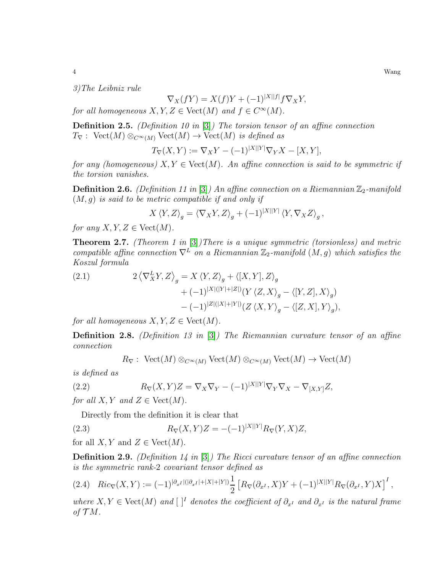3)The Leibniz rule

$$
\nabla_X(fY) = X(f)Y + (-1)^{|X||f|} f \nabla_X Y,
$$

for all homogeneous  $X, Y, Z \in \text{Vect}(M)$  and  $f \in C^{\infty}(M)$ .

**Definition 2.5.** (Definition 10 in  $[3]$ ) The torsion tensor of an affine connection  $T_{\nabla}$ : Vect $(M) \otimes_{C^{\infty}(M)}$  Vect $(M) \to \text{Vect}(M)$  is defined as

$$
T_{\nabla}(X,Y) := \nabla_X Y - (-1)^{|X||Y|} \nabla_Y X - [X,Y],
$$

for any (homogeneous)  $X, Y \in \text{Vect}(M)$ . An affine connection is said to be symmetric if the torsion vanishes.

**Definition 2.6.** (Definition 11 in [\[3\]](#page-13-4)) An affine connection on a Riemannian  $\mathbb{Z}_2$ -manifold  $(M, g)$  is said to be metric compatible if and only if

$$
X \langle Y, Z \rangle_g = \langle \nabla_X Y, Z \rangle_g + (-1)^{|X||Y|} \langle Y, \nabla_X Z \rangle_g,
$$

for any  $X, Y, Z \in \text{Vect}(M)$ .

**Theorem 2.7.** (Theorem 1 in  $[3]$ ) There is a unique symmetric (torsionless) and metric compatible affine connection  $\nabla^L$  on a Riemannian  $\mathbb{Z}_2$ -manifold  $(M, g)$  which satisfies the Koszul formula

(2.1) 
$$
2\left\langle \nabla_X^L Y, Z \right\rangle_g = X \left\langle Y, Z \right\rangle_g + \left\langle [X, Y], Z \right\rangle_g + (-1)^{|X|(|Y|+|Z|)} (Y \left\langle Z, X \right\rangle_g - \left\langle [Y, Z], X \right\rangle_g) - (-1)^{|Z|(|X|+|Y|)} (Z \left\langle X, Y \right\rangle_g - \left\langle [Z, X], Y \right\rangle_g),
$$

for all homogeneous  $X, Y, Z \in \text{Vect}(M)$ .

**Definition 2.8.** (Definition 13 in [\[3\]](#page-13-4)) The Riemannian curvature tensor of an affine connection

$$
R_{\nabla}
$$
: Vect(M)  $\otimes_{C^{\infty}(M)}$  Vect(M)  $\otimes_{C^{\infty}(M)}$  Vect(M)  $\rightarrow$  Vect(M)

is defined as

(2.2) 
$$
R_{\nabla}(X,Y)Z = \nabla_X \nabla_Y - (-1)^{|X||Y|} \nabla_Y \nabla_X - \nabla_{[X,Y]} Z,
$$

for all X, Y and  $Z \in \text{Vect}(M)$ .

Directly from the definition it is clear that

(2.3) 
$$
R_{\nabla}(X,Y)Z = -(-1)^{|X||Y|}R_{\nabla}(Y,X)Z,
$$

for all X, Y and  $Z \in \text{Vect}(M)$ .

**Definition 2.9.** (Definition 14 in [\[3\]](#page-13-4)) The Ricci curvature tensor of an affine connection is the symmetric rank-2 covariant tensor defined as

$$
(2.4) \ \ Ric_{\nabla}(X,Y) := (-1)^{|\partial_{x^I}|(|\partial_{x^I}| + |X| + |Y|)} \frac{1}{2} \left[ R_{\nabla}(\partial_{x^I}, X)Y + (-1)^{|X||Y|} R_{\nabla}(\partial_{x^I}, Y)X \right]^I,
$$

where  $X, Y \in \text{Vect}(M)$  and  $\lceil \cdot \rceil^I$  denotes the coefficient of  $\partial_{x^I}$  and  $\partial_{x^I}$  is the natural frame of  $\mathcal{T}M$ .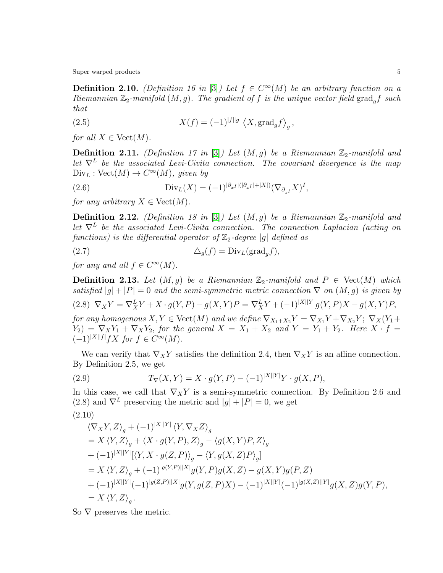**Definition 2.10.** (Definition 16 in [\[3\]](#page-13-4)) Let  $f \in C^{\infty}(M)$  be an arbitrary function on a Riemannian  $\mathbb{Z}_2$ -manifold  $(M, g)$ . The gradient of f is the unique vector field grad<sub>a</sub>f such that

(2.5) 
$$
X(f) = (-1)^{|f||g|} \left\langle X, \text{grad}_g f \right\rangle_g,
$$

for all  $X \in \text{Vect}(M)$ .

**Definition 2.11.** (Definition 17 in [\[3\]](#page-13-4)) Let  $(M, g)$  be a Riemannian  $\mathbb{Z}_2$ -manifold and let  $\nabla^L$  be the associated Levi-Civita connection. The covariant divergence is the map  $Div_L : Vect(M) \rightarrow C^{\infty}(M)$ , given by

(2.6) 
$$
\text{Div}_L(X) = (-1)^{|\partial_{x^I}|(|\partial_{x^I}| + |X|)} (\nabla_{\partial_{x^I}} X)^I,
$$

for any arbitrary  $X \in \text{Vect}(M)$ .

**Definition 2.12.** (Definition 18 in [\[3\]](#page-13-4)) Let  $(M, g)$  be a Riemannian  $\mathbb{Z}_2$ -manifold and let  $\nabla^L$  be the associated Levi-Civita connection. The connection Laplacian (acting on functions) is the differential operator of  $\mathbb{Z}_2$ -degree |g| defined as

(2.7) 
$$
\Delta_g(f) = \text{Div}_L(\text{grad}_g f),
$$

for any and all  $f \in C^{\infty}(M)$ .

**Definition 2.13.** Let  $(M, g)$  be a Riemannian  $\mathbb{Z}_2$ -manifold and  $P \in \text{Vect}(M)$  which satisfied  $|g| + |P| = 0$  and the semi-symmetric metric connection  $\nabla$  on  $(M, g)$  is given by

(2.8)  $\nabla_X Y = \nabla_X^L Y + X \cdot g(Y, P) - g(X, Y)P = \nabla_X^L Y + (-1)^{|X||Y|} g(Y, P)X - g(X, Y)P,$ for any homogenous  $X, Y \in \text{Vect}(M)$  and we define  $\nabla_{X_1+X_2}Y = \nabla_{X_1}Y + \nabla_{X_2}Y$ ;  $\nabla_X(Y_1 + Y_2)$  $Y_2$ ) =  $\nabla_X Y_1 + \nabla_X Y_2$ , for the general  $X = X_1 + X_2$  and  $Y = Y_1 + Y_2$ . Here  $X \cdot f =$ 

 $(-1)^{|X||f|} fX$  for  $f \in C^{\infty}(M)$ .

We can verify that  $\nabla_X Y$  satisfies the definition 2.4, then  $\nabla_X Y$  is an affine connection. By Definition 2.5, we get

(2.9) 
$$
T_{\nabla}(X,Y) = X \cdot g(Y,P) - (-1)^{|X||Y|} Y \cdot g(X,P),
$$

In this case, we call that  $\nabla_X Y$  is a semi-symmetric connection. By Definition 2.6 and (2.8) and  $\nabla^L$  preserving the metric and  $|g| + |P| = 0$ , we get

$$
(2.10)
$$

$$
\langle \nabla_X Y, Z \rangle_g + (-1)^{|X||Y|} \langle Y, \nabla_X Z \rangle_g
$$
  
=  $X \langle Y, Z \rangle_g + \langle X \cdot g(Y, P), Z \rangle_g - \langle g(X, Y)P, Z \rangle_g$   
+  $(-1)^{|X||Y|} [\langle Y, X \cdot g(Z, P) \rangle_g - \langle Y, g(X, Z)P \rangle_g]$   
=  $X \langle Y, Z \rangle_g + (-1)^{|g(Y, P)||X|} g(Y, P) g(X, Z) - g(X, Y) g(P, Z)$   
+  $(-1)^{|X||Y|} (-1)^{|g(Z, P)||X|} g(Y, g(Z, P)X) - (-1)^{|X||Y|} (-1)^{|g(X, Z)||Y|} g(X, Z) g(Y, P),$   
=  $X \langle Y, Z \rangle_g$ .

So  $\nabla$  preserves the metric.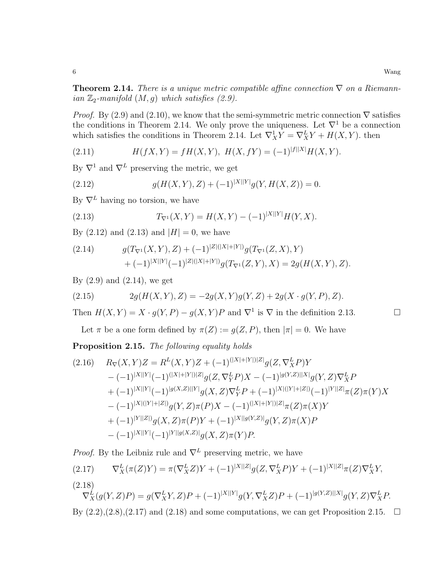**Theorem 2.14.** There is a unique metric compatible affine connection  $\nabla$  on a Riemannian  $\mathbb{Z}_2$ -manifold  $(M, g)$  which satisfies (2.9).

*Proof.* By (2.9) and (2.10), we know that the semi-symmetric metric connection  $\nabla$  satisfies the conditions in Theorem 2.14. We only prove the uniqueness. Let  $\nabla^1$  be a connection which satisfies the conditions in Theorem 2.14. Let  $\nabla_X^1 Y = \nabla_X^L Y + H(X, Y)$ . then

(2.11) 
$$
H(fX,Y) = fH(X,Y), H(X,fY) = (-1)^{|f||X|}H(X,Y).
$$

By  $\nabla^1$  and  $\nabla^L$  preserving the metric, we get

(2.12) 
$$
g(H(X,Y),Z) + (-1)^{|X||Y|}g(Y,H(X,Z)) = 0.
$$

By  $\nabla^L$  having no torsion, we have

(2.13) 
$$
T_{\nabla^1}(X,Y) = H(X,Y) - (-1)^{|X||Y|}H(Y,X).
$$

By  $(2.12)$  and  $(2.13)$  and  $|H| = 0$ , we have

(2.14) 
$$
g(T_{\nabla^1}(X,Y),Z) + (-1)^{|Z|(|X|+|Y|)}g(T_{\nabla^1}(Z,X),Y) + (-1)^{|X||Y|}(-1)^{|Z|(|X|+|Y|)}g(T_{\nabla^1}(Z,Y),X) = 2g(H(X,Y),Z).
$$

By  $(2.9)$  and  $(2.14)$ , we get

(2.15) 
$$
2g(H(X,Y),Z) = -2g(X,Y)g(Y,Z) + 2g(X \cdot g(Y,P),Z).
$$

Then  $H(X,Y) = X \cdot g(Y,P) - g(X,Y)P$  and  $\nabla^1$  is  $\nabla$  in the definition 2.13.

Let  $\pi$  be a one form defined by  $\pi(Z) := g(Z, P)$ , then  $|\pi| = 0$ . We have

Proposition 2.15. The following equality holds

$$
(2.16) \t R_{\nabla}(X,Y)Z = R^{L}(X,Y)Z + (-1)^{(|X|+|Y|)|Z|}g(Z, \nabla_{X}^{L}P)Y - (-1)^{|X||Y|}(-1)^{(|X|+|Y|)|Z|}g(Z, \nabla_{Y}^{L}P)X - (-1)^{|g(Y,Z)||X|}g(Y,Z)\nabla_{X}^{L}P + (-1)^{|X||Y|}(-1)^{|g(X,Z)||Y|}g(X,Z)\nabla_{Y}^{L}P + (-1)^{|X|(|Y|+|Z|)}(-1)^{|Y||Z|}\pi(Z)\pi(Y)X - (-1)^{|X|(|Y|+|Z|)}g(Y,Z)\pi(P)X - (-1)^{(|X|+|Y|)|Z|}\pi(Z)\pi(X)Y + (-1)^{|Y||Z|}g(X,Z)\pi(P)Y + (-1)^{|X||g(Y,Z)|}g(Y,Z)\pi(X)P - (-1)^{|X||Y|}(-1)^{|Y||g(X,Z)|}g(X,Z)\pi(Y)P.
$$

*Proof.* By the Leibniz rule and  $\nabla^L$  preserving metric, we have

(2.17) 
$$
\nabla_X^L(\pi(Z)Y) = \pi(\nabla_X^L Z)Y + (-1)^{|X||Z|}g(Z, \nabla_X^L P)Y + (-1)^{|X||Z|}\pi(Z)\nabla_X^L Y,
$$
\n(2.18)

 $\nabla_X^L(g(Y,Z)P) = g(\nabla_X^LY,Z)P + (-1)^{|X||Y|}g(Y,\nabla_X^LZ)P + (-1)^{|g(Y,Z)||X|}g(Y,Z)\nabla_X^LP.$ By  $(2.2),(2.8),(2.17)$  and  $(2.18)$  and some computations, we can get Proposition 2.15.  $\Box$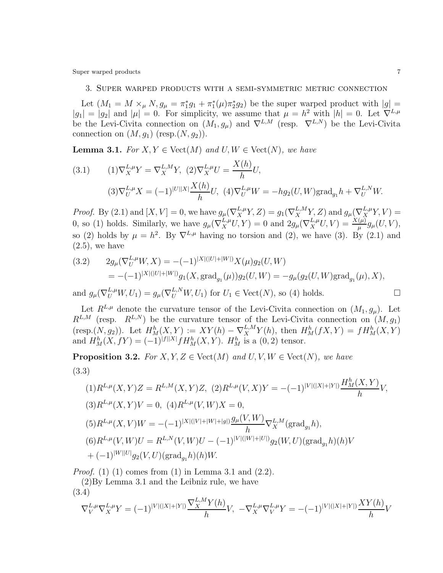Super warped products  $\qquad \qquad \qquad$  7

## 3. Super warped products with a semi-symmetric metric connection

Let  $(M_1 = M \times_{\mu} N, g_{\mu} = \pi_1^* g_1 + \pi_1^* (\mu) \pi_2^* g_2)$  be the super warped product with  $|g|$  $|g_1| = |g_2|$  and  $|\mu| = 0$ . For simplicity, we assume that  $\mu = h^2$  with  $|h| = 0$ . Let  $\nabla^{L,\mu}$ be the Levi-Civita connection on  $(M_1, g_\mu)$  and  $\nabla^{L,M}$  (resp.  $\nabla^{L,N}$ ) be the Levi-Civita connection on  $(M, g_1)$  (resp. $(N, g_2)$ ).

**Lemma 3.1.** For  $X, Y \in Vect(M)$  and  $U, W \in Vect(N)$ , we have

(3.1) 
$$
(1)\nabla_X^{L,\mu}Y = \nabla_X^{L,M}Y, (2)\nabla_X^{L,\mu}U = \frac{X(h)}{h}U,
$$

$$
(3)\nabla_U^{L,\mu}X = (-1)^{|U||X|}\frac{X(h)}{h}U, (4)\nabla_U^{L,\mu}W = -hg_2(U,W)\text{grad}_{g_1}h + \nabla_U^{L,N}W.
$$

*Proof.* By (2.1) and  $[X, V] = 0$ , we have  $g_{\mu}(\nabla_X^{L, \mu} Y, Z) = g_1(\nabla_X^{L, M} Y, Z)$  and  $g_{\mu}(\nabla_X^{L, \mu} Y, V) =$ 0, so (1) holds. Similarly, we have  $g_{\mu}(\nabla_X^{L,\mu}U, Y) = 0$  and  $2g_{\mu}(\nabla_X^{L,\mu}U, V) = \frac{X(\mu)}{\mu}g_{\mu}(U, V)$ , so (2) holds by  $\mu = h^2$ . By  $\nabla^{L,\mu}$  having no torsion and (2), we have (3). By (2.1) and  $(2.5)$ , we have

(3.2) 
$$
2g_{\mu}(\nabla_U^{L,\mu}W,X) = -(-1)^{|X|(|U|+|W|)}X(\mu)g_2(U,W)
$$

$$
= -(-1)^{|X|(|U|+|W|)}g_1(X,\text{grad}_{g_1}(\mu))g_2(U,W) = -g_{\mu}(g_2(U,W)\text{grad}_{g_1}(\mu),X),
$$

and  $g_{\mu}(\nabla_U^{L,\mu}W, U_1) = g_{\mu}(\nabla_U^{L,N}W, U_1)$  for  $U_1 \in \text{Vect}(N)$ , so (4) holds.

Let  $R^{L,\mu}$  denote the curvature tensor of the Levi-Civita connection on  $(M_1, g_\mu)$ . Let  $R^{L,M}$  (resp.  $R^{L,N}$ ) be the curvature tensor of the Levi-Civita connection on  $(M, g_1)$ (resp.(N, g<sub>2</sub>)). Let  $H_M^h(X, Y) := XY(h) - \nabla_X^{L,M} Y(h)$ , then  $H_M^h(fX, Y) = fH_M^h(X, Y)$ and  $H_M^h(X, fY) = (-1)^{|f||X|} f H_M^h(X, Y)$ .  $H_M^h$  is a  $(0, 2)$  tensor.

**Proposition 3.2.** For  $X, Y, Z \in Vect(M)$  and  $U, V, W \in Vect(N)$ , we have (3.3)

$$
(1)R^{L,\mu}(X,Y)Z = R^{L,M}(X,Y)Z, (2)R^{L,\mu}(V,X)Y = -(-1)^{|V|(|X|+|Y|)}\frac{H_M^h(X,Y)}{h}V,
$$
  
\n
$$
(3)R^{L,\mu}(X,Y)V = 0, (4)R^{L,\mu}(V,W)X = 0,
$$
  
\n
$$
(5)R^{L,\mu}(X,V)W = -(-1)^{|X|(|V|+|W|+|g|)}\frac{g_{\mu}(V,W)}{h}\nabla_X^{L,M}(\text{grad}_{g_1}h),
$$
  
\n
$$
(6)R^{L,\mu}(V,W)U = R^{L,N}(V,W)U - (-1)^{|V|(|W|+|U|)}g_2(W,U)(\text{grad}_{g_1}h)(h)V
$$
  
\n
$$
+(-1)^{|W||U|}g_2(V,U)(\text{grad}_{g_1}h)(h)W.
$$

*Proof.* (1) (1) comes from (1) in Lemma 3.1 and  $(2.2)$ .

(2)By Lemma 3.1 and the Leibniz rule, we have (3.4)

$$
\nabla_V^{L,\mu} \nabla_X^{L,\mu} Y = (-1)^{|V|(|X|+|Y|)} \frac{\nabla_X^{L,M} Y(h)}{h} V, \ -\nabla_X^{L,\mu} \nabla_V^{L,\mu} Y = -(-1)^{|V|(|X|+|Y|)} \frac{X Y(h)}{h} V
$$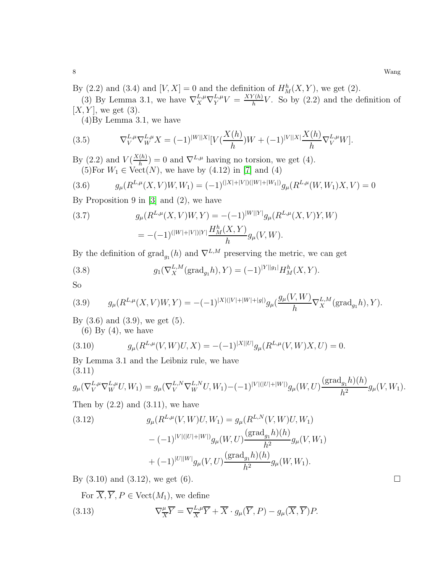By (2.2) and (3.4) and  $[V, X] = 0$  and the definition of  $H_M^h(X, Y)$ , we get (2).

(3) By Lemma 3.1, we have  $\nabla_X^{L,\mu} \nabla_Y^{L,\mu} V = \frac{XY(h)}{h}$  $\frac{\binom{n}{k}}{h}$  V. So by (2.2) and the definition of  $[X, Y]$ , we get  $(3)$ .

(4)By Lemma 3.1, we have

(3.5) 
$$
\nabla_V^{L,\mu} \nabla_W^{L,\mu} X = (-1)^{|W||X|} [V(\frac{X(h)}{h})W + (-1)^{|V||X|} \frac{X(h)}{h} \nabla_V^{L,\mu} W].
$$

By (2.2) and  $V(\frac{X(h)}{h})$  $\binom{(h)}{h}$  = 0 and  $\nabla^{L,\mu}$  having no torsion, we get (4). (5)For  $W_1 \in \text{Vect}(N)$ , we have by  $(4.12)$  in [\[7\]](#page-14-5) and (4)

(3.6) 
$$
g_{\mu}(R^{L,\mu}(X,V)W,W_1) = (-1)^{(|X|+|V|)(|W|+|W_1|)} g_{\mu}(R^{L,\mu}(W,W_1)X,V) = 0
$$

By Proposition 9 in [\[3\]](#page-13-4) and (2), we have

(3.7) 
$$
g_{\mu}(R^{L,\mu}(X,V)W,Y) = -(-1)^{|W||Y|}g_{\mu}(R^{L,\mu}(X,V)Y,W)
$$

$$
= -(-1)^{(|W|+|V|)|Y|}\frac{H_M^h(X,Y)}{h}g_{\mu}(V,W).
$$

By the definition of  $\text{grad}_{g_1}(h)$  and  $\nabla^{L,M}$  preserving the metric, we can get

(3.8) 
$$
g_1(\nabla_X^{L,M}(\text{grad}_{g_1}h), Y) = (-1)^{|Y||g_1|} H_M^h(X, Y).
$$

$$
_{\rm So}
$$

(3.9) 
$$
g_{\mu}(R^{L,\mu}(X,V)W,Y) = -(-1)^{|X|(|V|+|W|+|g|)}g_{\mu}(\frac{g_{\mu}(V,W)}{h}\nabla_X^{L,M}(\text{grad}_{g_1}h),Y).
$$

By  $(3.6)$  and  $(3.9)$ , we get  $(5)$ .  $(6)$  By  $(4)$ , we have

(3.10) 
$$
g_{\mu}(R^{L,\mu}(V,W)U,X) = -(-1)^{|X||U|}g_{\mu}(R^{L,\mu}(V,W)X,U) = 0.
$$

By Lemma 3.1 and the Leibniz rule, we have (3.11)

$$
g_{\mu}(\nabla_{V}^{L,\mu}\nabla_{W}^{L,\mu}U,W_{1})=g_{\mu}(\nabla_{V}^{L,N}\nabla_{W}^{L,N}U,W_{1})-(-1)^{|V|(|U|+|W|)}g_{\mu}(W,U)\frac{(\text{grad}_{g_{1}}h)(h)}{h^{2}}g_{\mu}(V,W_{1}).
$$

Then by  $(2.2)$  and  $(3.11)$ , we have

(3.12) 
$$
g_{\mu}(R^{L,\mu}(V,W)U,W_1) = g_{\mu}(R^{L,N}(V,W)U,W_1) - (-1)^{|V|(|U|+|W|)} g_{\mu}(W,U) \frac{(\text{grad}_{g_1} h)(h)}{h^2} g_{\mu}(V,W_1) + (-1)^{|U||W|} g_{\mu}(V,U) \frac{(\text{grad}_{g_1} h)(h)}{h^2} g_{\mu}(W,W_1).
$$

By  $(3.10)$  and  $(3.12)$ , we get  $(6)$ .

For  $\overline{X}, \overline{Y}, P \in \text{Vect}(M_1)$ , we define  $(3.13)$  $\mu$  $\frac{\mu}{X}\overline{Y} = \nabla\frac{L,\mu}{X}$  $\frac{L,\mu}{X}Y + X \cdot g_{\mu}(Y, P) - g_{\mu}(X, Y)P.$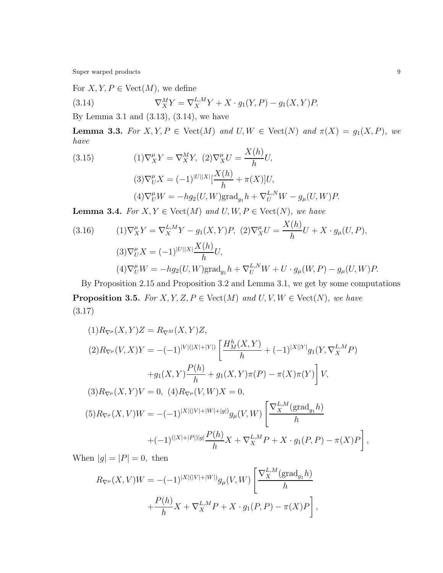Super warped products  $\qquad \qquad 9$ 

For  $X, Y, P \in Vect(M)$ , we define

(3.14) 
$$
\nabla_X^M Y = \nabla_X^{L,M} Y + X \cdot g_1(Y, P) - g_1(X, Y)P.
$$

By Lemma 3.1 and (3.13), (3.14), we have

**Lemma 3.3.** For  $X, Y, P \in \text{Vect}(M)$  and  $U, W \in \text{Vect}(N)$  and  $\pi(X) = g_1(X, P)$ , we have  $Y(h)$ 

(3.15)  
\n
$$
(1)\nabla_X^{\mu}Y = \nabla_X^M Y, \ (2)\nabla_X^{\mu}U = \frac{X(h)}{h}U,
$$
\n
$$
(3)\nabla_U^{\mu}X = (-1)^{|U||X|}[\frac{X(h)}{h} + \pi(X)]U,
$$
\n
$$
(4)\nabla_U^{\mu}W = -hg_2(U,W)\text{grad}_{g_1}h + \nabla_U^{L,N}W - g_{\mu}(U,W)P.
$$

**Lemma 3.4.** For  $X, Y \in \text{Vect}(M)$  and  $U, W, P \in \text{Vect}(N)$ , we have

(3.16) 
$$
(1)\nabla_X^{\mu}Y = \nabla_X^{L,M}Y - g_1(X,Y)P, \ (2)\nabla_X^{\mu}U = \frac{X(h)}{h}U + X \cdot g_{\mu}(U,P),
$$

$$
(3)\nabla_U^{\mu}X = (-1)^{|U||X|}\frac{X(h)}{h}U,
$$

$$
(4)\nabla_U^{\mu}W = -hg_2(U,W)\text{grad}_{g_1}h + \nabla_U^{L,N}W + U \cdot g_{\mu}(W,P) - g_{\mu}(U,W)P.
$$

By Proposition 2.15 and Proposition 3.2 and Lemma 3.1, we get by some computations **Proposition 3.5.** For  $X, Y, Z, P \in Vect(M)$  and  $U, V, W \in Vect(N)$ , we have (3.17)

$$
(1)R_{\nabla^{\mu}}(X,Y)Z = R_{\nabla^M}(X,Y)Z,
$$
  
\n
$$
(2)R_{\nabla^{\mu}}(V,X)Y = -(-1)^{|V|(|X|+|Y|)} \left[ \frac{H_M^h(X,Y)}{h} + (-1)^{|X||Y|} g_1(Y, \nabla_X^{L,M} P) + g_1(X,Y) \frac{P(h)}{h} + g_1(X,Y) \pi(P) - \pi(X) \pi(Y) \right] V,
$$
  
\n
$$
(3)R_{\nabla^{\mu}}(X,Y)V = 0, \quad (4)R_{\nabla^{\mu}}(V,W)X = 0,
$$
  
\n
$$
(5)R_{\nabla^{\mu}}(X,V)W = -(-1)^{|X|(|V|+|W|+|g|)} g_{\mu}(V,W) \left[ \frac{\nabla_X^{L,M}(\text{grad}_{g_1} h)}{h} + (-1)^{(|X|+|P|)|g|} \frac{P(h)}{h} X + \nabla_X^{L,M} P + X \cdot g_1(P, P) - \pi(X)P \right],
$$

When  $|g| = |P| = 0$ , then

$$
R_{\nabla^{\mu}}(X,V)W = -(-1)^{|X|(|V|+|W|)}g_{\mu}(V,W)\left[\frac{\nabla_X^{L,M}(\text{grad}_{g_1}h)}{h} + \frac{P(h)}{h}X + \nabla_X^{L,M}P + X \cdot g_1(P,P) - \pi(X)P\right],
$$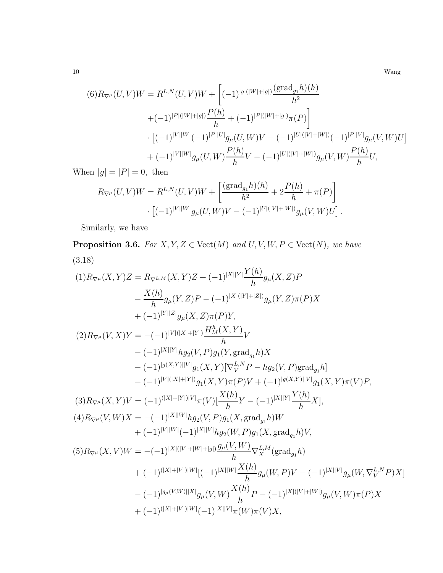10 Wang

$$
(6) R_{\nabla^{\mu}}(U, V)W = R^{L,N}(U, V)W + \left[ (-1)^{|g|(|W|+|g|)} \frac{(\text{grad}_{g_1} h)(h)}{h^2} + (-1)^{|P|(|W|+|g|)} \frac{P(h)}{h} + (-1)^{|P|(|W|+|g|)} \pi(P) \right] \cdot \left[ (-1)^{|V||W|} (-1)^{|P||U|} g_{\mu}(U, W) V - (-1)^{|U|(|V|+|W|)} (-1)^{|P||V|} g_{\mu}(V, W) U \right] + (-1)^{|V||W|} g_{\mu}(U, W) \frac{P(h)}{h} V - (-1)^{|U|(|V|+|W|)} g_{\mu}(V, W) \frac{P(h)}{h} U,
$$

When  $|g| = |P| = 0$ , then

$$
R_{\nabla^{\mu}}(U,V)W = R^{L,N}(U,V)W + \left[\frac{(\text{grad}_{g_1}h)(h)}{h^2} + 2\frac{P(h)}{h} + \pi(P)\right] \cdot \left[(-1)^{|V||W|}g_{\mu}(U,W)V - (-1)^{|U|(|V|+|W|)}g_{\mu}(V,W)U\right].
$$

Similarly, we have

**Proposition 3.6.** For  $X, Y, Z \in \text{Vect}(M)$  and  $U, V, W, P \in \text{Vect}(N)$ , we have (3.18)

$$
(1) R_{\nabla^{\mu}}(X,Y)Z = R_{\nabla^{L,M}}(X,Y)Z + (-1)^{|X||Y|} \frac{Y(h)}{h} g_{\mu}(X,Z)P
$$
  
\n
$$
- \frac{X(h)}{h} g_{\mu}(Y,Z)P - (-1)^{|X|(|Y|+|Z|)} g_{\mu}(Y,Z) \pi(P)X
$$
  
\n
$$
+ (-1)^{|Y||Z|} g_{\mu}(X,Z) \pi(P)Y,
$$
  
\n
$$
(2) R_{\nabla^{\mu}}(V,X)Y = -(-1)^{|V|(|X|+|Y|)} \frac{H_h^h(X,Y)}{h}V
$$
  
\n
$$
- (-1)^{|X||Y|} h g_2(V,P) g_1(Y,\text{grad}_g,h)X
$$
  
\n
$$
- (-1)^{|g(X,Y)||V|} g_1(X,Y) [\nabla_V^{L,N} P - h g_2(V,P) \text{grad}_g,h]
$$
  
\n
$$
- (-1)^{|V|(|X|+|Y|)} g_1(X,Y) \pi(P)V + (-1)^{|g(X,Y)||V|} g_1(X,Y) \pi(V)P,
$$
  
\n
$$
(3) R_{\nabla^{\mu}}(X,Y)V = (-1)^{(|X|+|Y|)|V|} \pi(V) [\frac{X(h)}{h}Y - (-1)^{|X||Y|} \frac{Y(h)}{h}X],
$$
  
\n
$$
(4) R_{\nabla^{\mu}}(V,W)X = -(-1)^{|X||W|} h g_2(V,P) g_1(X,\text{grad}_g,h)W
$$
  
\n
$$
+ (-1)^{|V||W|} (-1)^{|X||V|} g_2(W,P) g_1(X,\text{grad}_g,h) V,
$$
  
\n
$$
(5) R_{\nabla^{\mu}}(X,V)W = -(-1)^{|X|(|V|+|W|+|g|)} \frac{g_{\mu}(V,W)}{h} \nabla_X^{L,M}(\text{grad}_g,h)
$$
  
\n
$$
+ (-1)^{(|X|+|V|)|W|} [(-1)^{|X||W|} \frac{X(h)}{h} P - (-1)^{|X|(|V|+|W|)} g_{\mu}(W,\nabla_V^{L,N} P)X]
$$
  
\n
$$
- (-1)^{|g_{\mu}(V,W)||X|} g_{\mu}(V,W) \frac{
$$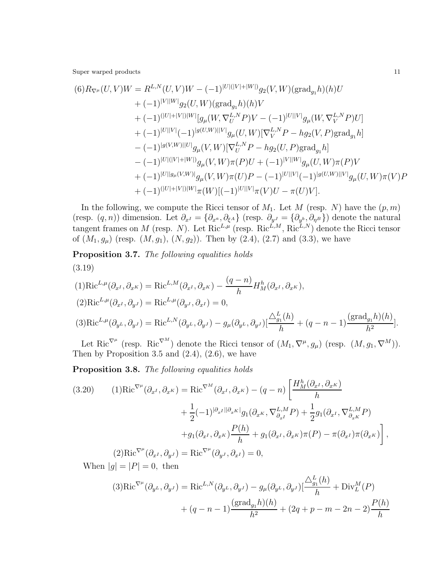$$
(6) R_{\nabla^{\mu}}(U,V)W = R^{L,N}(U,V)W - (-1)^{|U|(|V|+|W|)}g_2(V,W)(\text{grad}_{g_1}h)(h)U + (-1)^{|V||W|}g_2(U,W)(\text{grad}_{g_1}h)(h)V + (-1)^{(|U|+|V|)|W|}[g_{\mu}(W,\nabla_U^{L,N}P)V - (-1)^{|U||V|}g_{\mu}(W,\nabla_V^{L,N}P)U] + (-1)^{|U||V|}(-1)^{|g(U,W)||V|}g_{\mu}(U,W)[\nabla_V^{L,N}P - hg_2(V,P)\text{grad}_{g_1}h] - (-1)^{|g(V,W)||U|}g_{\mu}(V,W)[\nabla_U^{L,N}P - hg_2(U,P)\text{grad}_{g_1}h] - (-1)^{|U||(|V|+|W|)}g_{\mu}(V,W)\pi(P)U + (-1)^{|V||W|}g_{\mu}(U,W)\pi(P)V + (-1)^{|U||g_{\mu}(V,W)|}g_{\mu}(V,W)\pi(U)P - (-1)^{|U||V|}(-1)^{|g(U,W)||V|}g_{\mu}(U,W)\pi(V)P + (-1)^{(|U|+|V|)|W|}\pi(W)[(-1)^{|U||V|}\pi(V)U - \pi(U)V].
$$

In the following, we compute the Ricci tensor of  $M_1$ . Let M (resp. N) have the  $(p, m)$ (resp.  $(q, n)$ ) dimension. Let  $\partial_{x^I} = \{\partial_{x^a}, \partial_{\xi^A}\}\$  (resp.  $\partial_{y^J} = \{\partial_{y^b}, \partial_{\eta^B}\}\$ ) denote the natural tangent frames on M (resp. N). Let  $\text{Ric}^{L,\mu}$  (resp.  $\text{Ric}^{L,M}, \text{Ric}^{L,N}$ ) denote the Ricci tensor of  $(M_1, g_\mu)$  (resp.  $(M, g_1)$ ,  $(N, g_2)$ ). Then by  $(2.4)$ ,  $(2.7)$  and  $(3.3)$ , we have

Proposition 3.7. The following equalities holds (3.19)

$$
(1)\text{Ric}^{L,\mu}(\partial_{x^I}, \partial_{x^K}) = \text{Ric}^{L,M}(\partial_{x^I}, \partial_{x^K}) - \frac{(q-n)}{h}H_M^h(\partial_{x^I}, \partial_{x^K}),
$$
  
\n
$$
(2)\text{Ric}^{L,\mu}(\partial_{x^I}, \partial_{y^J}) = \text{Ric}^{L,\mu}(\partial_{y^J}, \partial_{x^I}) = 0,
$$
  
\n
$$
(3)\text{Ric}^{L,\mu}(\partial_{y^L}, \partial_{y^J}) = \text{Ric}^{L,N}(\partial_{y^L}, \partial_{y^J}) - g_\mu(\partial_{y^L}, \partial_{y^J})\left[\frac{\Delta_{g_1}^L(h)}{h} + (q-n-1)\frac{(\text{grad}_{g_1}h)(h)}{h^2}\right].
$$

Let Ric<sup> $\nabla^{\mu}$ </sup> (resp. Ric<sup> $\nabla^{M}$ </sup>) denote the Ricci tensor of  $(M_1, \nabla^{\mu}, g_{\mu})$  (resp.  $(M, g_1, \nabla^{M})$ ). Then by Proposition 3.5 and  $(2.4)$ ,  $(2.6)$ , we have

Proposition 3.8. The following equalities holds

(3.20) 
$$
(1)\text{Ric}^{\nabla^{\mu}}(\partial_{x^I}, \partial_{x^K}) = \text{Ric}^{\nabla^M}(\partial_{x^I}, \partial_{x^K}) - (q - n) \left[ \frac{H_M^h(\partial_{x^I}, \partial_{x^K})}{h} + \frac{1}{2}(-1)^{|\partial_{x^I}||\partial_{x^K}|}g_1(\partial_{x^K}, \nabla_{\partial_{x^I}}^{L,M}P) + \frac{1}{2}g_1(\partial_{x^I}, \nabla_{\partial_{x^K}}^{L,M}P) + g_1(\partial_{x^I}, \partial_{x^K})\frac{P(h)}{h} + g_1(\partial_{x^I}, \partial_{x^K})\pi(P) - \pi(\partial_{x^I})\pi(\partial_{x^K}) \right],
$$
  
\n(2) 
$$
\text{Ric}^{\nabla^{\mu}}(\partial_{x^I}, \partial_{y^J}) = \text{Ric}^{\nabla^{\mu}}(\partial_{y^J}, \partial_{x^I}) = 0,
$$

When  $|g| = |P| = 0$ , then

$$
(3)\text{Ric}^{\nabla^{\mu}}(\partial_{y^L}, \partial_{y^J}) = \text{Ric}^{L,N}(\partial_{y^L}, \partial_{y^J}) - g_{\mu}(\partial_{y^L}, \partial_{y^J}) \left[ \frac{\Delta_{g_1}^L(h)}{h} + \text{Div}_{L}^M(P) + (q - n - 1) \frac{(\text{grad}_{g_1} h)(h)}{h^2} + (2q + p - m - 2n - 2) \frac{P(h)}{h} \right]
$$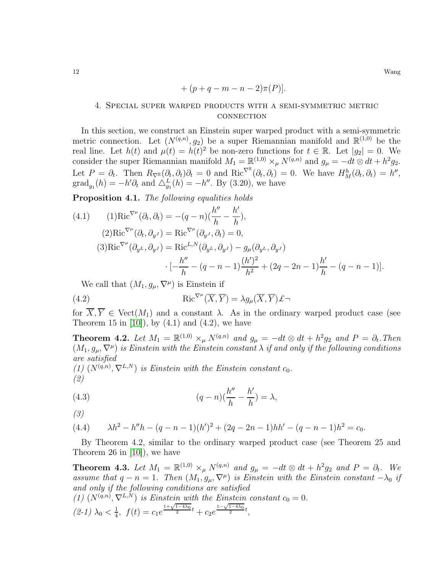$$
+(p+q-m-n-2)\pi(P).
$$

# 4. Special super warped products with a semi-symmetric metric **CONNECTION**

In this section, we construct an Einstein super warped product with a semi-symmetric metric connection. Let  $(N^{(q,n)}, g_2)$  be a super Riemannian manifold and  $\mathbb{R}^{(1,0)}$  be the real line. Let  $h(t)$  and  $\mu(t) = h(t)^2$  be non-zero functions for  $t \in \mathbb{R}$ . Let  $|g_2| = 0$ . We consider the super Riemannian manifold  $M_1 = \mathbb{R}^{(1,0)} \times_{\mu} N^{(q,n)}$  and  $g_{\mu} = -dt \otimes dt + h^2 g_2$ . Let  $P = \partial_t$ . Then  $R_{\nabla} \mathbb{R}(\partial_t, \partial_t) \partial_t = 0$  and  $\text{Ric}^{\nabla} \mathbb{R}(\partial_t, \partial_t) = 0$ . We have  $H_M^h(\partial_t, \partial_t) = h''$ ,  $\operatorname{grad}_{g_1}(h) = -h'\partial_t$  and  $\Delta_{g_1}^L(h) = -h''$ . By (3.20), we have

Proposition 4.1. The following equalities holds

(4.1) 
$$
(1)\text{Ric}^{\nabla^{\mu}}(\partial_{t}, \partial_{t}) = -(q - n)\left(\frac{h''}{h} - \frac{h'}{h}\right),
$$
  
\n
$$
(2)\text{Ric}^{\nabla^{\mu}}(\partial_{t}, \partial_{y}J) = \text{Ric}^{\nabla^{\mu}}(\partial_{y}J, \partial_{t}) = 0,
$$
  
\n
$$
(3)\text{Ric}^{\nabla^{\mu}}(\partial_{y}L, \partial_{y}J) = \text{Ric}^{L,N}(\partial_{y}L, \partial_{y}J) - g_{\mu}(\partial_{y}L, \partial_{y}J)
$$
  
\n
$$
\cdot \left[ -\frac{h''}{h} - (q - n - 1)\frac{(h')^{2}}{h^{2}} + (2q - 2n - 1)\frac{h'}{h} - (q - n - 1) \right].
$$

We call that  $(M_1, g_\mu, \nabla^\mu)$  is Einstein if

(4.2) 
$$
\operatorname{Ric}^{\nabla^{\mu}}(\overline{X},\overline{Y}) = \lambda g_{\mu}(\overline{X},\overline{Y}) \pounds \neg
$$

for  $\overline{X}, \overline{Y} \in \text{Vect}(M_1)$  and a constant  $\lambda$ . As in the ordinary warped product case (see Theorem 15 in  $[10]$ , by  $(4.1)$  and  $(4.2)$ , we have

**Theorem 4.2.** Let  $M_1 = \mathbb{R}^{(1,0)} \times_{\mu} N^{(q,n)}$  and  $g_{\mu} = -dt \otimes dt + h^2 g_2$  and  $P = \partial_t$ . Then  $(M_1, g_\mu, \nabla^\mu)$  is Einstein with the Einstein constant  $\lambda$  if and only if the following conditions are satisfied

(1)  $(N^{(q,n)}, \nabla^{L,N})$  is Einstein with the Einstein constant  $c_0$ . (2)

(4.3) 
$$
(q-n)\left(\frac{h''}{h} - \frac{h'}{h}\right) = \lambda,
$$

(3)

(4.4) 
$$
\lambda h^2 - h''h - (q - n - 1)(h')^2 + (2q - 2n - 1)hh' - (q - n - 1)h^2 = c_0.
$$

By Theorem 4.2, similar to the ordinary warped product case (see Theorem 25 and Theorem 26 in [\[10\]](#page-14-3)), we have

**Theorem 4.3.** Let  $M_1 = \mathbb{R}^{(1,0)} \times_{\mu} N^{(q,n)}$  and  $g_{\mu} = -dt \otimes dt + h^2 g_2$  and  $P = \partial_t$ . We assume that  $q - n = 1$ . Then  $(M_1, g_\mu, \nabla^\mu)$  is Einstein with the Einstein constant  $-\lambda_0$  if and only if the following conditions are satisfied

(1) 
$$
(N^{(q,n)}, \nabla^{L,N})
$$
 is Einstein with the Einstein constant  $c_0 = 0$ .  
(2-1)  $\lambda_0 < \frac{1}{4}$ ,  $f(t) = c_1 e^{\frac{1+\sqrt{1-4\lambda_0}}{2}t} + c_2 e^{\frac{1-\sqrt{1-4\lambda_0}}{2}t}$ ,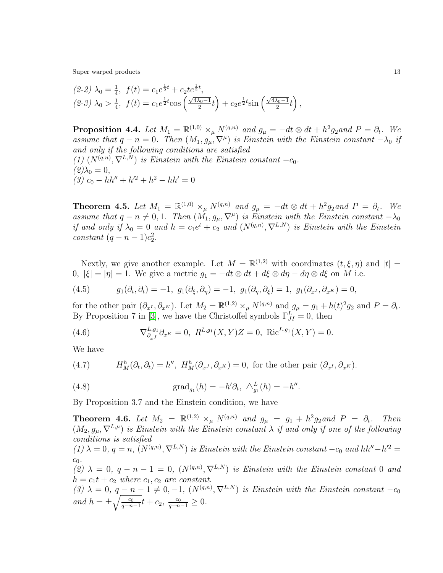$$
(2-2)\ \lambda_0 = \frac{1}{4}, \ f(t) = c_1 e^{\frac{1}{2}t} + c_2 t e^{\frac{1}{2}t},
$$
  

$$
(2-3)\ \lambda_0 > \frac{1}{4}, \ f(t) = c_1 e^{\frac{1}{2}t} \cos\left(\frac{\sqrt{4\lambda_0 - 1}}{2}t\right) + c_2 e^{\frac{1}{2}t} \sin\left(\frac{\sqrt{4\lambda_0 - 1}}{2}t\right),
$$

**Proposition 4.4.** Let  $M_1 = \mathbb{R}^{(1,0)} \times_{\mu} N^{(q,n)}$  and  $g_{\mu} = -dt \otimes dt + h^2 g_2$  and  $P = \partial_t$ . We assume that  $q - n = 0$ . Then  $(M_1, g_\mu, \nabla^\mu)$  is Einstein with the Einstein constant  $-\lambda_0$  if and only if the following conditions are satisfied (1)  $(N^{(q,n)}, \nabla^{L,N})$  is Einstein with the Einstein constant  $-c_0$ .  $(2)\lambda_0 = 0,$ (3)  $c_0 - hh'' + h'^2 + h^2 - hh' = 0$ 

**Theorem 4.5.** Let  $M_1 = \mathbb{R}^{(1,0)} \times_{\mu} N^{(q,n)}$  and  $g_{\mu} = -dt \otimes dt + h^2 g_2$  and  $P = \partial_t$ . We assume that  $q - n \neq 0, 1$ . Then  $(M_1, g_\mu, \nabla^\mu)$  is Einstein with the Einstein constant  $-\lambda_0$ if and only if  $\lambda_0 = 0$  and  $h = c_1 e^t + c_2$  and  $(N^{(q,n)}, \nabla^{L,N})$  is Einstein with the Einstein constant  $(q - n - 1)c_2^2$ .

Nextly, we give another example. Let  $M = \mathbb{R}^{(1,2)}$  with coordinates  $(t, \xi, \eta)$  and  $|t| =$ 0,  $|\xi| = |\eta| = 1$ . We give a metric  $g_1 = -dt \otimes dt + d\xi \otimes d\eta - d\eta \otimes d\xi$  on M i.e.

(4.5) 
$$
g_1(\partial_t, \partial_t) = -1, g_1(\partial_{\xi}, \partial_{\eta}) = -1, g_1(\partial_{\eta}, \partial_{\xi}) = 1, g_1(\partial_{x^I}, \partial_{x^K}) = 0,
$$

for the other pair  $(\partial_{x^I}, \partial_{x^K})$ . Let  $M_2 = \mathbb{R}^{(1,2)} \times_{\mu} N^{(q,n)}$  and  $g_{\mu} = g_1 + h(t)^2 g_2$  and  $P = \partial_t$ . By Proposition 7 in [\[3\]](#page-13-4), we have the Christoffel symbols  $\Gamma_{JI}^L = 0$ , then

(4.6) 
$$
\nabla_{\partial_{x^J}}^{L,g_1} \partial_{x^K} = 0, \ R^{L,g_1}(X,Y)Z = 0, \ \text{Ric}^{L,g_1}(X,Y) = 0.
$$

We have

(4.7) 
$$
H_M^h(\partial_t, \partial_t) = h'', \ H_M^h(\partial_{x^J}, \partial_{x^K}) = 0, \text{ for the other pair } (\partial_{x^I}, \partial_{x^K}).
$$

(4.8) 
$$
\text{grad}_{g_1}(h) = -h' \partial_t, \ \Delta_{g_1}^L(h) = -h''.
$$

By Proposition 3.7 and the Einstein condition, we have

**Theorem 4.6.** Let  $M_2 = \mathbb{R}^{(1,2)} \times_{\mu} N^{(q,n)}$  and  $g_{\mu} = g_1 + h^2 g_2$  and  $P = \partial_t$ . Then  $(M_2, g_\mu, \nabla^{L,\mu})$  is Einstein with the Einstein constant  $\lambda$  if and only if one of the following conditions is satisfied (1)  $\lambda = 0$ ,  $q = n$ ,  $(N^{(q,n)}, \nabla^{L,N})$  is Einstein with the Einstein constant  $-c_0$  and  $hh''-h'^2 =$  $c_0$ . (2)  $\lambda = 0, q - n - 1 = 0, (N^{(q,n)}, \nabla^{L,N})$  is Einstein with the Einstein constant 0 and  $h = c_1t + c_2$  where  $c_1, c_2$  are constant. (3)  $\lambda = 0, q - n - 1 \neq 0, -1, (N^{(q,n)}, \nabla^{L,N})$  is Einstein with the Einstein constant  $-c_0$ 

and  $h = \pm \sqrt{\frac{c_0}{a-n}}$  $rac{c_0}{q-n-1}t + c_2, \frac{c_0}{q-n-1} \geq 0.$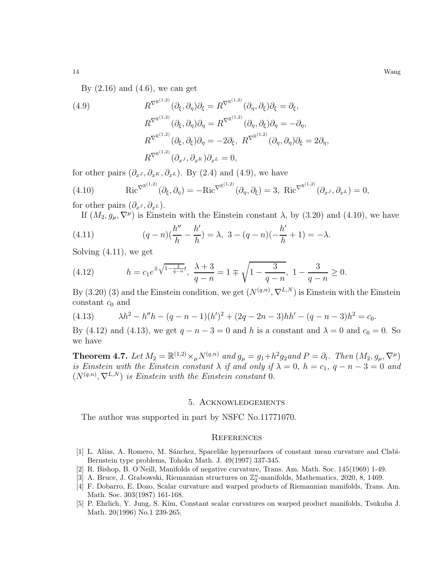14 Wang

By  $(2.16)$  and  $(4.6)$ , we can get

(4.9)  
\n
$$
R^{\nabla^{\mathbb{R}^{(1,2)}}}(\partial_{\xi}, \partial_{\eta})\partial_{\xi} = R^{\nabla^{\mathbb{R}^{(1,2)}}}(\partial_{\eta}, \partial_{\xi})\partial_{\xi} = \partial_{\xi},
$$
\n
$$
R^{\nabla^{\mathbb{R}^{(1,2)}}}(\partial_{\xi}, \partial_{\eta})\partial_{\eta} = R^{\nabla^{\mathbb{R}^{(1,2)}}}(\partial_{\eta}, \partial_{\xi})\partial_{\eta} = -\partial_{\eta},
$$
\n
$$
R^{\nabla^{\mathbb{R}^{(1,2)}}}(\partial_{\xi}, \partial_{\xi})\partial_{\eta} = -2\partial_{\xi}, R^{\nabla^{\mathbb{R}^{(1,2)}}}(\partial_{\eta}, \partial_{\eta})\partial_{\xi} = 2\partial_{\eta},
$$
\n
$$
R^{\nabla^{\mathbb{R}^{(1,2)}}}(\partial_{x^J}, \partial_{x^K})\partial_{x^L} = 0,
$$

for other pairs  $(\partial_{x^J}, \partial_{x^K}, \partial_{x^L})$ . By (2.4) and (4.9), we have

(4.10) 
$$
Ric^{\nabla^{\mathbb{R}^{(1,2)}}}(\partial_{\xi}, \partial_{\eta}) = -Ric^{\nabla^{\mathbb{R}^{(1,2)}}}(\partial_{\eta}, \partial_{\xi}) = 3, \operatorname{Ric}^{\nabla^{\mathbb{R}^{(1,2)}}}(\partial_{x^J}, \partial_{x^L}) = 0,
$$

for other pairs  $(\partial_{x^J}, \partial_{x^L})$ .

If  $(M_2, g_\mu, \nabla^\mu)$  is Einstein with the Einstein constant  $\lambda$ , by (3.20) and (4.10), we have

(4.11) 
$$
(q-n)\left(\frac{h''}{h} - \frac{h'}{h}\right) = \lambda, \ 3 - (q-n)\left(-\frac{h'}{h} + 1\right) = -\lambda.
$$

Solving (4.11), we get

(4.12) 
$$
h = c_1 e^{\pm \sqrt{1 - \frac{3}{q - n}}t}, \frac{\lambda + 3}{q - n} = 1 \mp \sqrt{1 - \frac{3}{q - n}}, 1 - \frac{3}{q - n} \ge 0.
$$

By (3.20) (3) and the Einstein condition, we get  $(N^{(q,n)}, \nabla^{L,N})$  is Einstein with the Einstein constant  $c_0$  and

(4.13) 
$$
\lambda h^2 - h''h - (q - n - 1)(h')^2 + (2q - 2n - 3)hh' - (q - n - 3)h^2 = c_0.
$$

By (4.12) and (4.13), we get  $q - n - 3 = 0$  and h is a constant and  $\lambda = 0$  and  $c_0 = 0$ . So we have

**Theorem 4.7.** Let  $M_2 = \mathbb{R}^{(1,2)} \times_{\mu} N^{(q,n)}$  and  $g_{\mu} = g_1 + h^2 g_2$  and  $P = \partial_t$ . Then  $(M_2, g_{\mu}, \nabla^{\mu})$ is Einstein with the Einstein constant  $\lambda$  if and only if  $\lambda = 0$ ,  $h = c_1$ ,  $q - n - 3 = 0$  and  $(N^{(q,n)}, \nabla^{L,N})$  is Einstein with the Einstein constant 0.

## 5. Acknowledgements

The author was supported in part by NSFC No.11771070.

## **REFERENCES**

- <span id="page-13-3"></span>[1] L. Al´ıas, A. Romero, M. S´anchez, Spacelike hypersurfaces of constant mean curvature and Clabi-Bernstein type problems, Tohoku Math. J. 49(1997) 337-345.
- <span id="page-13-4"></span><span id="page-13-0"></span>[2] R. Bishop, B. O'Neill, Manifolds of negative curvature, Trans. Am. Math. Soc. 145(1969) 1-49.
- <span id="page-13-1"></span> $[3]$  A. Bruce, J. Grabowski, Riemannian structures on  $\mathbb{Z}_2^n$ -manifolds, Mathematics, 2020, 8, 1469.
- [4] F. Dobarro, E. Dozo, Scalar curvature and warped products of Riemannian manifolds, Trans. Am. Math. Soc. 303(1987) 161-168.
- <span id="page-13-2"></span>[5] P. Ehrlich, Y. Jung, S. Kim, Constant scalar curvatures on warped product manifolds, Tsukuba J. Math. 20(1996) No.1 239-265.